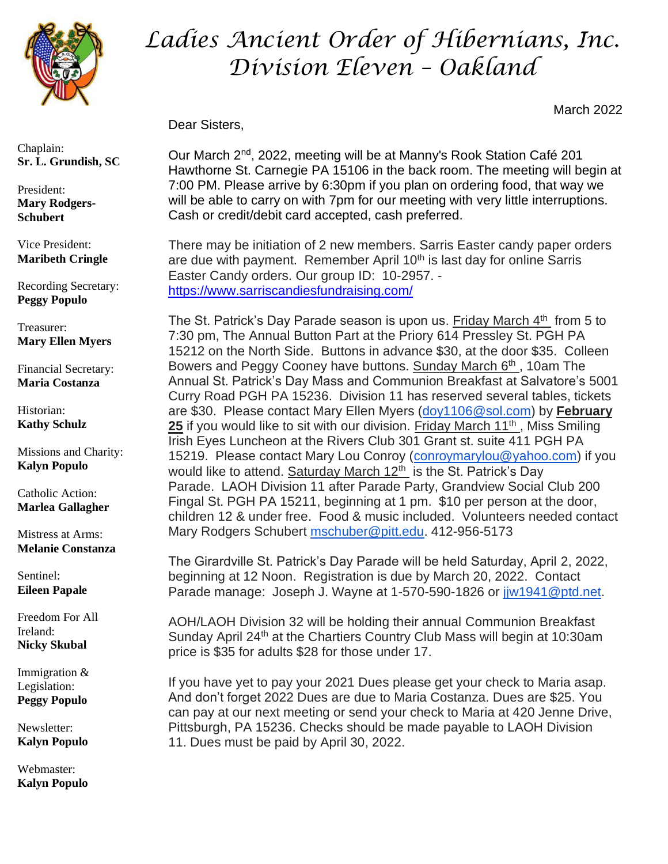

*Ladies Ancient Order of Hibernians, Inc. Division Eleven – Oakland*

March 2022

Dear Sisters,

Our March 2<sup>nd</sup>, 2022, meeting will be at Manny's Rook Station Café 201 Hawthorne St. Carnegie PA 15106 in the back room. The meeting will begin at 7:00 PM. Please arrive by 6:30pm if you plan on ordering food, that way we will be able to carry on with 7pm for our meeting with very little interruptions. Cash or credit/debit card accepted, cash preferred.

There may be initiation of 2 new members. Sarris Easter candy paper orders are due with payment. Remember April  $10<sup>th</sup>$  is last day for online Sarris Easter Candy orders. Our group ID: 10-2957. <https://www.sarriscandiesfundraising.com/>

The St. Patrick's Day Parade season is upon us. Friday March 4<sup>th</sup> from 5 to 7:30 pm, The Annual Button Part at the Priory 614 Pressley St. PGH PA 15212 on the North Side. Buttons in advance \$30, at the door \$35. Colleen Bowers and Peggy Cooney have buttons. Sunday March 6<sup>th</sup>, 10am The Annual St. Patrick's Day Mass and Communion Breakfast at Salvatore's 5001 Curry Road PGH PA 15236. Division 11 has reserved several tables, tickets are \$30. Please contact Mary Ellen Myers [\(doy1106@sol.com\)](mailto:doy1106@sol.com) by **February 25** if you would like to sit with our division. Friday March 11<sup>th</sup>, Miss Smiling Irish Eyes Luncheon at the Rivers Club 301 Grant st. suite 411 PGH PA 15219. Please contact Mary Lou Conroy [\(conroymarylou@yahoo.com\)](mailto:conroymarylou@yahoo.com) if you would like to attend. Saturday March  $12<sup>th</sup>$  is the St. Patrick's Day Parade. LAOH Division 11 after Parade Party, Grandview Social Club 200 Fingal St. PGH PA 15211, beginning at 1 pm. \$10 per person at the door, children 12 & under free. Food & music included. Volunteers needed contact Mary Rodgers Schubert [mschuber@pitt.edu.](mailto:mschuber@pitt.edu) 412-956-5173

The Girardville St. Patrick's Day Parade will be held Saturday, April 2, 2022, beginning at 12 Noon. Registration is due by March 20, 2022. Contact Parade manage: Joseph J. Wayne at 1-570-590-1826 or juv1941@ptd.net.

AOH/LAOH Division 32 will be holding their annual Communion Breakfast Sunday April 24<sup>th</sup> at the Chartiers Country Club Mass will begin at 10:30am price is \$35 for adults \$28 for those under 17.

If you have yet to pay your 2021 Dues please get your check to Maria asap. And don't forget 2022 Dues are due to Maria Costanza. Dues are \$25. You can pay at our next meeting or send your check to Maria at 420 Jenne Drive, Pittsburgh, PA 15236. Checks should be made payable to LAOH Division 11. Dues must be paid by April 30, 2022.

Chaplain: **Sr. L. Grundish, SC**

President: **Mary Rodgers-Schubert**

Vice President: **Maribeth Cringle**

Recording Secretary: **Peggy Populo**

Treasurer: **Mary Ellen Myers**

Financial Secretary: **Maria Costanza**

Historian: **Kathy Schulz**

Missions and Charity: **Kalyn Populo**

Catholic Action: **Marlea Gallagher**

Mistress at Arms: **Melanie Constanza**

Sentinel: **Eileen Papale**

Freedom For All Ireland: **Nicky Skubal**

Immigration & Legislation: **Peggy Populo**

Newsletter: **Kalyn Populo**

Webmaster: **Kalyn Populo**